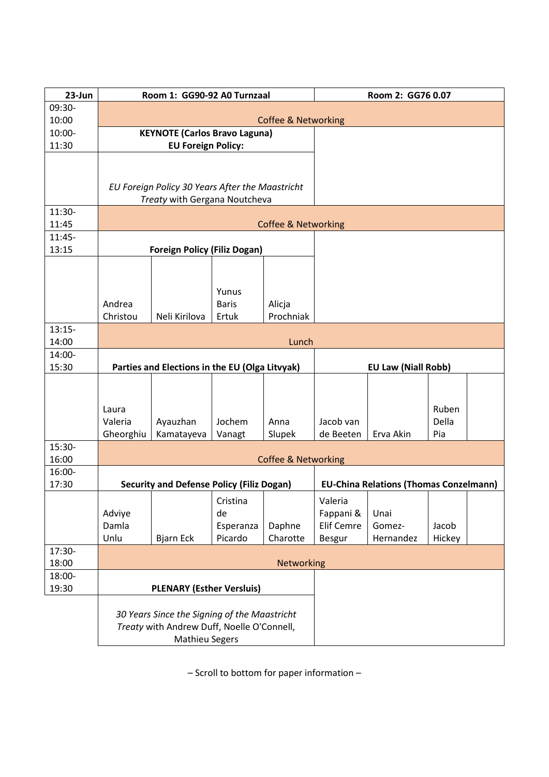| 23-Jun          |                                                | Room 1: GG90-92 A0 Turnzaal                      | Room 2: GG76 0.07                             |                            |                   |           |        |  |  |  |  |
|-----------------|------------------------------------------------|--------------------------------------------------|-----------------------------------------------|----------------------------|-------------------|-----------|--------|--|--|--|--|
| 09:30-          |                                                |                                                  |                                               |                            |                   |           |        |  |  |  |  |
| 10:00           | <b>Coffee &amp; Networking</b>                 |                                                  |                                               |                            |                   |           |        |  |  |  |  |
| 10:00-          |                                                | <b>KEYNOTE (Carlos Bravo Laguna)</b>             |                                               |                            |                   |           |        |  |  |  |  |
| 11:30           |                                                | <b>EU Foreign Policy:</b>                        |                                               |                            |                   |           |        |  |  |  |  |
|                 |                                                |                                                  |                                               |                            |                   |           |        |  |  |  |  |
|                 |                                                | EU Foreign Policy 30 Years After the Maastricht  |                                               |                            |                   |           |        |  |  |  |  |
|                 |                                                | Treaty with Gergana Noutcheva                    |                                               |                            |                   |           |        |  |  |  |  |
| 11:30-          |                                                |                                                  |                                               |                            |                   |           |        |  |  |  |  |
| 11:45           | <b>Coffee &amp; Networking</b>                 |                                                  |                                               |                            |                   |           |        |  |  |  |  |
| 11:45-<br>13:15 |                                                | <b>Foreign Policy (Filiz Dogan)</b>              |                                               |                            |                   |           |        |  |  |  |  |
|                 |                                                |                                                  |                                               |                            |                   |           |        |  |  |  |  |
|                 |                                                |                                                  |                                               |                            |                   |           |        |  |  |  |  |
|                 |                                                |                                                  | Yunus                                         |                            |                   |           |        |  |  |  |  |
|                 | Andrea                                         |                                                  | <b>Baris</b>                                  | Alicja                     |                   |           |        |  |  |  |  |
|                 | Christou                                       | Neli Kirilova                                    | Ertuk                                         | Prochniak                  |                   |           |        |  |  |  |  |
| $13:15-$        |                                                |                                                  |                                               |                            |                   |           |        |  |  |  |  |
| 14:00           | Lunch                                          |                                                  |                                               |                            |                   |           |        |  |  |  |  |
| 14:00-<br>15:30 |                                                |                                                  |                                               | <b>EU Law (Niall Robb)</b> |                   |           |        |  |  |  |  |
|                 | Parties and Elections in the EU (Olga Litvyak) |                                                  |                                               |                            |                   |           |        |  |  |  |  |
|                 |                                                |                                                  |                                               |                            |                   |           |        |  |  |  |  |
|                 | Laura                                          |                                                  |                                               |                            |                   |           | Ruben  |  |  |  |  |
|                 | Valeria                                        | Ayauzhan                                         | Jochem                                        | Anna                       | Jacob van         |           | Della  |  |  |  |  |
|                 | Gheorghiu                                      | Kamatayeva                                       | Vanagt                                        | Slupek                     | de Beeten         | Erva Akin | Pia    |  |  |  |  |
| 15:30-          |                                                |                                                  |                                               |                            |                   |           |        |  |  |  |  |
| 16:00<br>16:00- | <b>Coffee &amp; Networking</b>                 |                                                  |                                               |                            |                   |           |        |  |  |  |  |
| 17:30           |                                                | <b>Security and Defense Policy (Filiz Dogan)</b> | <b>EU-China Relations (Thomas Conzelmann)</b> |                            |                   |           |        |  |  |  |  |
|                 |                                                |                                                  | Cristina                                      |                            | Valeria           |           |        |  |  |  |  |
|                 | Adviye                                         |                                                  | de                                            |                            | Fappani &         | Unai      |        |  |  |  |  |
|                 | Damla                                          |                                                  | Esperanza                                     | Daphne                     | <b>Elif Cemre</b> | Gomez-    | Jacob  |  |  |  |  |
|                 | Unlu                                           | <b>Bjarn Eck</b>                                 | Picardo                                       | Charotte                   | <b>Besgur</b>     | Hernandez | Hickey |  |  |  |  |
| 17:30-          |                                                |                                                  |                                               |                            |                   |           |        |  |  |  |  |
| 18:00<br>18:00- |                                                |                                                  |                                               | Networking                 |                   |           |        |  |  |  |  |
| 19:30           |                                                | <b>PLENARY (Esther Versluis)</b>                 |                                               |                            |                   |           |        |  |  |  |  |
|                 |                                                |                                                  |                                               |                            |                   |           |        |  |  |  |  |
|                 |                                                | 30 Years Since the Signing of the Maastricht     |                                               |                            |                   |           |        |  |  |  |  |
|                 |                                                | Treaty with Andrew Duff, Noelle O'Connell,       |                                               |                            |                   |           |        |  |  |  |  |
|                 |                                                | <b>Mathieu Segers</b>                            |                                               |                            |                   |           |        |  |  |  |  |

– Scroll to bottom for paper information –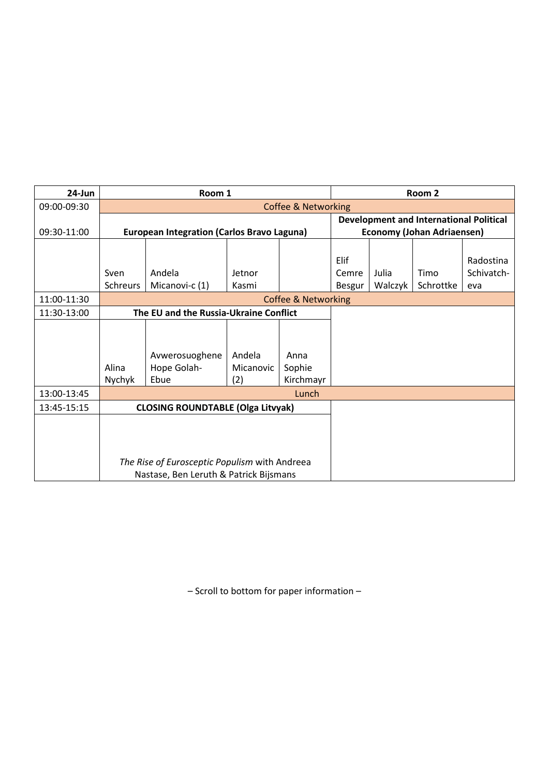| 24-Jun      | Room 1                                            |                                               |           |                                                |               | Room 2                            |           |            |  |  |
|-------------|---------------------------------------------------|-----------------------------------------------|-----------|------------------------------------------------|---------------|-----------------------------------|-----------|------------|--|--|
| 09:00-09:30 |                                                   |                                               |           | <b>Coffee &amp; Networking</b>                 |               |                                   |           |            |  |  |
|             |                                                   |                                               |           | <b>Development and International Political</b> |               |                                   |           |            |  |  |
| 09:30-11:00 | <b>European Integration (Carlos Bravo Laguna)</b> |                                               |           |                                                |               | <b>Economy (Johan Adriaensen)</b> |           |            |  |  |
|             |                                                   |                                               |           |                                                |               |                                   |           |            |  |  |
|             |                                                   |                                               |           |                                                | Elif          |                                   |           | Radostina  |  |  |
|             | Sven                                              | Andela                                        | Jetnor    |                                                | Cemre         | Julia                             | Timo      | Schivatch- |  |  |
|             | Schreurs                                          | Micanovi-c (1)                                | Kasmi     |                                                | <b>Besgur</b> | Walczyk                           | Schrottke | eva        |  |  |
| 11:00-11:30 | <b>Coffee &amp; Networking</b>                    |                                               |           |                                                |               |                                   |           |            |  |  |
| 11:30-13:00 |                                                   | The EU and the Russia-Ukraine Conflict        |           |                                                |               |                                   |           |            |  |  |
|             |                                                   |                                               |           |                                                |               |                                   |           |            |  |  |
|             |                                                   |                                               |           |                                                |               |                                   |           |            |  |  |
|             |                                                   | Avwerosuoghene                                | Andela    | Anna                                           |               |                                   |           |            |  |  |
|             | Alina                                             | Hope Golah-                                   | Micanovic | Sophie                                         |               |                                   |           |            |  |  |
|             | Nychyk                                            | Ebue                                          | (2)       | Kirchmayr                                      |               |                                   |           |            |  |  |
| 13:00-13:45 |                                                   |                                               |           |                                                |               |                                   |           |            |  |  |
| 13:45-15:15 |                                                   | <b>CLOSING ROUNDTABLE (Olga Litvyak)</b>      |           |                                                |               |                                   |           |            |  |  |
|             |                                                   |                                               |           |                                                |               |                                   |           |            |  |  |
|             |                                                   |                                               |           |                                                |               |                                   |           |            |  |  |
|             |                                                   |                                               |           |                                                |               |                                   |           |            |  |  |
|             |                                                   | The Rise of Eurosceptic Populism with Andreea |           |                                                |               |                                   |           |            |  |  |
|             |                                                   | Nastase, Ben Leruth & Patrick Bijsmans        |           |                                                |               |                                   |           |            |  |  |

– Scroll to bottom for paper information –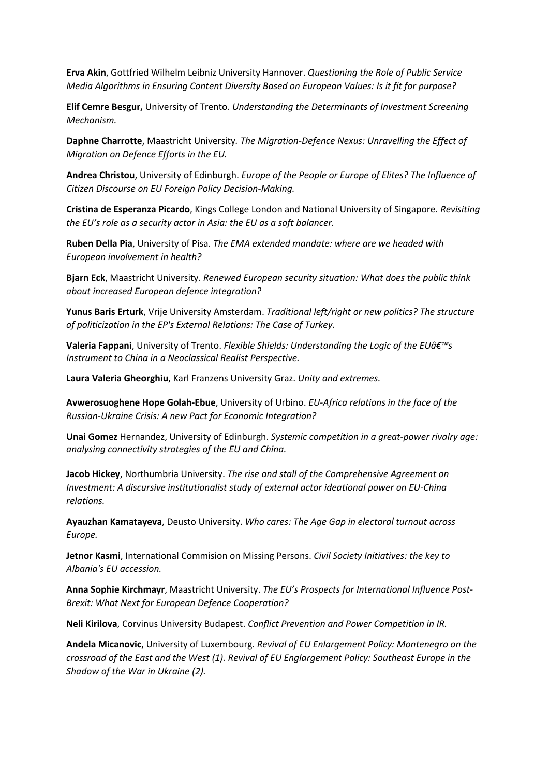**Erva Akin**, Gottfried Wilhelm Leibniz University Hannover. *Questioning the Role of Public Service Media Algorithms in Ensuring Content Diversity Based on European Values: Is it fit for purpose?*

**Elif Cemre Besgur,** University of Trento. *Understanding the Determinants of Investment Screening Mechanism.*

**Daphne Charrotte**, Maastricht University*. The Migration-Defence Nexus: Unravelling the Effect of Migration on Defence Efforts in the EU.*

**Andrea Christou**, University of Edinburgh. *Europe of the People or Europe of Elites? The Influence of Citizen Discourse on EU Foreign Policy Decision-Making.*

**Cristina de Esperanza Picardo**, Kings College London and National University of Singapore. *Revisiting the EU's role as a security actor in Asia: the EU as a soft balancer.*

**Ruben Della Pia**, University of Pisa. *The EMA extended mandate: where are we headed with European involvement in health?*

**Bjarn Eck**, Maastricht University. *Renewed European security situation: What does the public think about increased European defence integration?*

**Yunus Baris Erturk**, Vrije University Amsterdam. *Traditional left/right or new politics? The structure of politicization in the EP's External Relations: The Case of Turkey.*

**Valeria Fappani**, University of Trento. *Flexible Shields: Understanding the Logic of the EUâ€<sup>™</sup>s Instrument to China in a Neoclassical Realist Perspective.*

**Laura Valeria Gheorghiu**, Karl Franzens University Graz. *Unity and extremes.*

**Avwerosuoghene Hope Golah-Ebue**, University of Urbino. *EU-Africa relations in the face of the Russian-Ukraine Crisis: A new Pact for Economic Integration?*

**Unai Gomez** Hernandez, University of Edinburgh. *Systemic competition in a great-power rivalry age: analysing connectivity strategies of the EU and China.*

**Jacob Hickey**, Northumbria University. *The rise and stall of the Comprehensive Agreement on Investment: A discursive institutionalist study of external actor ideational power on EU-China relations.*

**Ayauzhan Kamatayeva**, Deusto University. *Who cares: The Age Gap in electoral turnout across Europe.*

**Jetnor Kasmi**, International Commision on Missing Persons. *Civil Society Initiatives: the key to Albania's EU accession.*

**Anna Sophie Kirchmayr**, Maastricht University. *The EU's Prospects for International Influence Post-Brexit: What Next for European Defence Cooperation?*

**Neli Kirilova**, Corvinus University Budapest. *Conflict Prevention and Power Competition in IR.*

**Andela Micanovic**, University of Luxembourg. *Revival of EU Enlargement Policy: Montenegro on the crossroad of the East and the West (1). Revival of EU Englargement Policy: Southeast Europe in the Shadow of the War in Ukraine (2).*